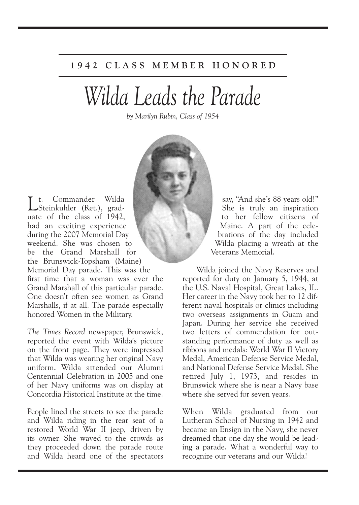## **1 9 4 2 C L A S S M E M B E R H O N O R E D**

## *Wilda Leads the Parade*

*by Marilyn Rubin, Class of 1954*



L. Commander Wilda Steinkuhler (Ret.), graduate of the class of 1942, had an exciting experience during the 2007 Memorial Day weekend. She was chosen to be the Grand Marshall for the Brunswick-Topsham (Maine) Memorial Day parade. This was the first time that a woman was ever the Grand Marshall of this particular parade. One doesn't often see women as Grand Marshalls, if at all. The parade especially honored Women in the Military.

*The Times Record* newspaper, Brunswick, reported the event with Wilda's picture on the front page. They were impressed that Wilda was wearing her original Navy uniform. Wilda attended our Alumni Centennial Celebration in 2005 and one of her Navy uniforms was on display at Concordia Historical Institute at the time.

People lined the streets to see the parade and Wilda riding in the rear seat of a restored World War II jeep, driven by its owner. She waved to the crowds as they proceeded down the parade route and Wilda heard one of the spectators

say, "And she's 88 years old!" She is truly an inspiration to her fellow citizens of Maine. A part of the celebrations of the day included Wilda placing a wreath at the Veterans Memorial.

Wilda joined the Navy Reserves and reported for duty on January 5, 1944, at the U.S. Naval Hospital, Great Lakes, IL. Her career in the Navy took her to 12 different naval hospitals or clinics including two overseas assignments in Guam and Japan. During her service she received two letters of commendation for outstanding performance of duty as well as ribbons and medals: World War II Victory Medal, American Defense Service Medal, and National Defense Service Medal. She retired July 1, 1973, and resides in Brunswick where she is near a Navy base where she served for seven years.

When Wilda graduated from our Lutheran School of Nursing in 1942 and became an Ensign in the Navy, she never dreamed that one day she would be leading a parade. What a wonderful way to recognize our veterans and our Wilda!